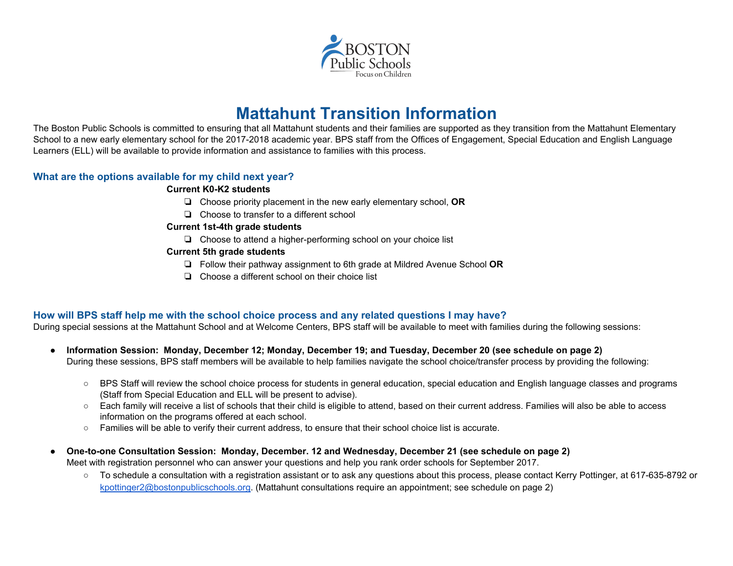

# **Mattahunt Transition Information**

The Boston Public Schools is committed to ensuring that all Mattahunt students and their families are supported as they transition from the Mattahunt Elementary School to a new early elementary school for the 2017-2018 academic year. BPS staff from the Offices of Engagement, Special Education and English Language Learners (ELL) will be available to provide information and assistance to families with this process.

# **What are the options available for my child next year?**

#### **Current K0-K2 students**

- ❏ Choose priority placement in the new early elementary school, **OR**
- ❏ Choose to transfer to a different school

#### **Current 1st-4th grade students**

❏ Choose to attend a higher-performing school on your choice list

#### **Current 5th grade students**

- ❏ Follow their pathway assignment to 6th grade at Mildred Avenue School **OR**
- ❏ Choose a different school on their choice list

# **How will BPS staff help me with the school choice process and any related questions I may have?**

During special sessions at the Mattahunt School and at Welcome Centers, BPS staff will be available to meet with families during the following sessions:

- **● Information Session: Monday, December 12; Monday, December 19; and Tuesday, December 20 (see schedule on page 2)** During these sessions, BPS staff members will be available to help families navigate the school choice/transfer process by providing the following:
	- BPS Staff will review the school choice process for students in general education, special education and English language classes and programs (Staff from Special Education and ELL will be present to advise).
	- Each family will receive a list of schools that their child is eligible to attend, based on their current address. Families will also be able to access information on the programs offered at each school.
	- Families will be able to verify their current address, to ensure that their school choice list is accurate.
- **● One-to-one Consultation Session: Monday, December. 12 and Wednesday, December 21 (see schedule on page 2)** Meet with registration personnel who can answer your questions and help you rank order schools for September 2017.
	- To schedule a consultation with a registration assistant or to ask any questions about this process, please contact Kerry Pottinger, at 617-635-8792 or [kpottinger2@bostonpublicschools.org.](mailto:kpottinger2@bostonpublicschools.org) (Mattahunt consultations require an appointment; see schedule on page 2)